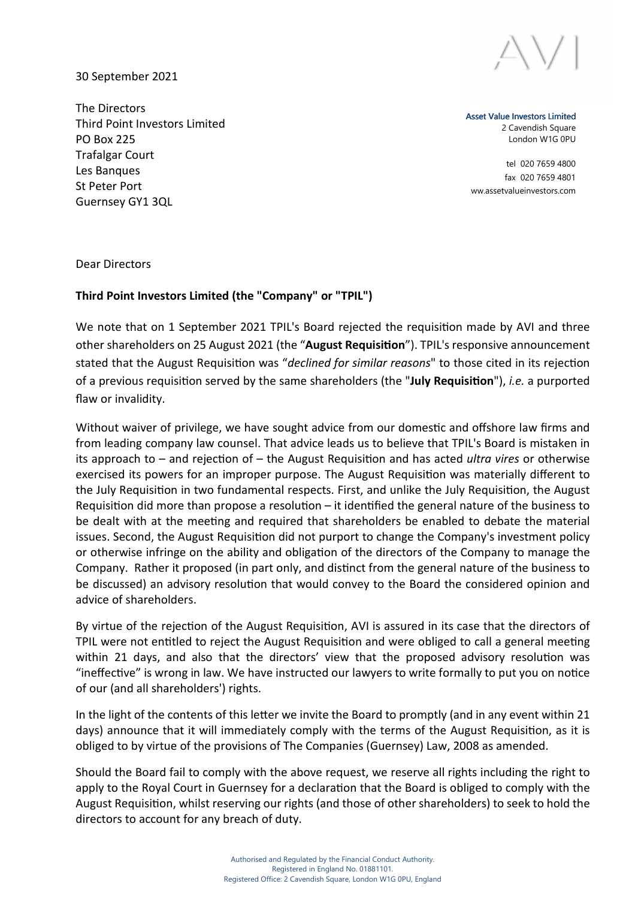

30 September 2021

The Directors Third Point Investors Limited PO Box 225 Trafalgar Court Les Banques St Peter Port Guernsey GY1 3QL

Asset Value Investors Limited 2 Cavendish Square London W1G 0PU

tel 020 7659 4800 fax 020 7659 4801 ww.assetvalueinvestors.com

Dear Directors

## Third Point Investors Limited (the "Company" or "TPIL")

We note that on 1 September 2021 TPIL's Board rejected the requisition made by AVI and three other shareholders on 25 August 2021 (the "August Requisition"). TPIL's responsive announcement stated that the August Requisition was "declined for similar reasons" to those cited in its rejection of a previous requisition served by the same shareholders (the "July Requisition"), *i.e.* a purported flaw or invalidity.

Without waiver of privilege, we have sought advice from our domestic and offshore law firms and from leading company law counsel. That advice leads us to believe that TPIL's Board is mistaken in its approach to – and rejection of – the August Requisition and has acted *ultra vires* or otherwise exercised its powers for an improper purpose. The August Requisition was materially different to the July Requisition in two fundamental respects. First, and unlike the July Requisition, the August Requisition did more than propose a resolution – it identified the general nature of the business to be dealt with at the meeting and required that shareholders be enabled to debate the material issues. Second, the August Requisition did not purport to change the Company's investment policy or otherwise infringe on the ability and obligation of the directors of the Company to manage the Company. Rather it proposed (in part only, and distinct from the general nature of the business to be discussed) an advisory resolution that would convey to the Board the considered opinion and advice of shareholders.

By virtue of the rejection of the August Requisition, AVI is assured in its case that the directors of TPIL were not entitled to reject the August Requisition and were obliged to call a general meeting within 21 days, and also that the directors' view that the proposed advisory resolution was "ineffective" is wrong in law. We have instructed our lawyers to write formally to put you on notice of our (and all shareholders') rights.

In the light of the contents of this letter we invite the Board to promptly (and in any event within 21 days) announce that it will immediately comply with the terms of the August Requisition, as it is obliged to by virtue of the provisions of The Companies (Guernsey) Law, 2008 as amended.

Should the Board fail to comply with the above request, we reserve all rights including the right to apply to the Royal Court in Guernsey for a declaration that the Board is obliged to comply with the August Requisition, whilst reserving our rights (and those of other shareholders) to seek to hold the directors to account for any breach of duty.